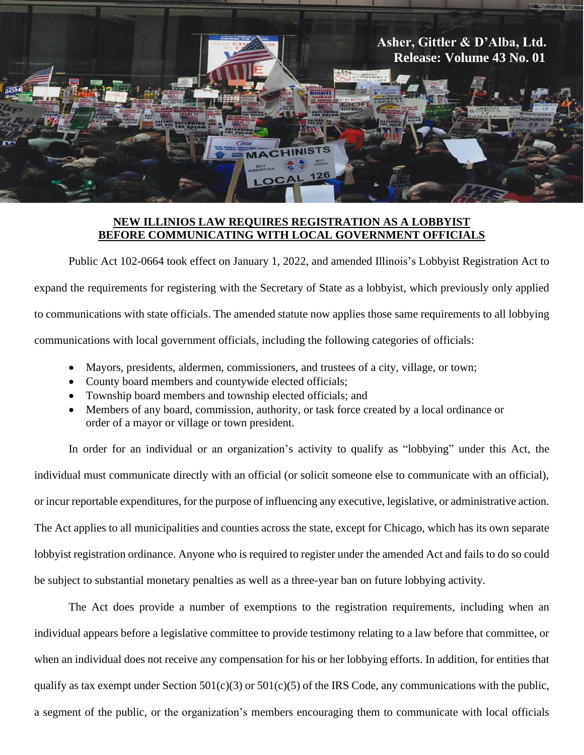

## **NEW ILLINIOS LAW REQUIRES REGISTRATION AS A LOBBYIST BEFORE COMMUNICATING WITH LOCAL GOVERNMENT OFFICIALS**

Public Act 102-0664 took effect on January 1, 2022, and amended Illinois's Lobbyist Registration Act to expand the requirements for registering with the Secretary of State as a lobbyist, which previously only applied to communications with state officials. The amended statute now applies those same requirements to all lobbying communications with local government officials, including the following categories of officials:

- Mayors, presidents, aldermen, commissioners, and trustees of a city, village, or town;
- County board members and countywide elected officials;
- Township board members and township elected officials; and
- Members of any board, commission, authority, or task force created by a local ordinance or order of a mayor or village or town president.

In order for an individual or an organization's activity to qualify as "lobbying" under this Act, the individual must communicate directly with an official (or solicit someone else to communicate with an official), or incur reportable expenditures, for the purpose of influencing any executive, legislative, or administrative action. The Act applies to all municipalities and counties across the state, except for Chicago, which has its own separate lobbyist registration ordinance. Anyone who is required to register under the amended Act and fails to do so could be subject to substantial monetary penalties as well as a three-year ban on future lobbying activity.

The Act does provide a number of exemptions to the registration requirements, including when an individual appears before a legislative committee to provide testimony relating to a law before that committee, or when an individual does not receive any compensation for his or her lobbying efforts. In addition, for entities that qualify as tax exempt under Section  $501(c)(3)$  or  $501(c)(5)$  of the IRS Code, any communications with the public, a segment of the public, or the organization's members encouraging them to communicate with local officials